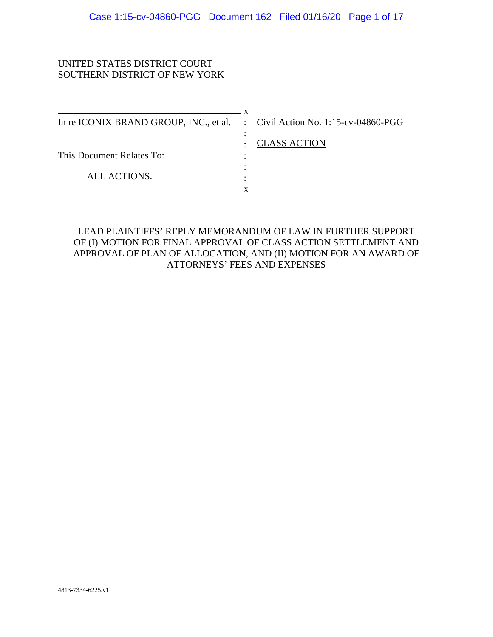## UNITED STATES DISTRICT COURT SOUTHERN DISTRICT OF NEW YORK

 $\mathbf{x}$ In re ICONIX BRAND GROUP, INC., et al. : Civil Action No. 1:15-cv-04860-PGG This Document Relates To: ALL ACTIONS. : : : : x

: CLASS ACTION

LEAD PLAINTIFFS' REPLY MEMORANDUM OF LAW IN FURTHER SUPPORT OF (I) MOTION FOR FINAL APPROVAL OF CLASS ACTION SETTLEMENT AND APPROVAL OF PLAN OF ALLOCATION, AND (II) MOTION FOR AN AWARD OF ATTORNEYS' FEES AND EXPENSES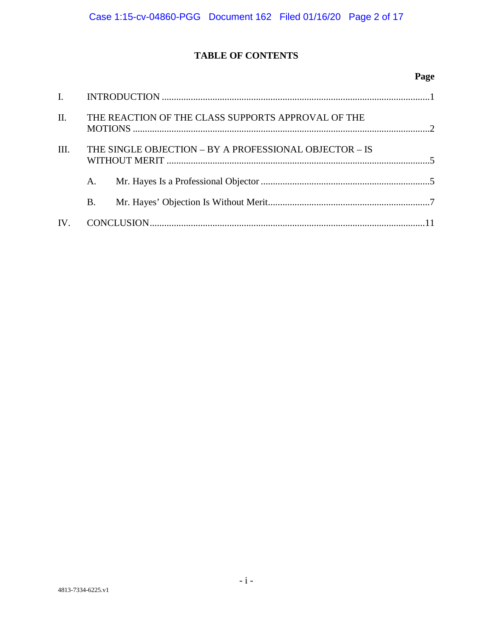# **TABLE OF CONTENTS**

## **Page**

| II.  |                                                        | THE REACTION OF THE CLASS SUPPORTS APPROVAL OF THE |  |
|------|--------------------------------------------------------|----------------------------------------------------|--|
| III. | THE SINGLE OBJECTION – BY A PROFESSIONAL OBJECTOR – IS |                                                    |  |
|      | A.                                                     |                                                    |  |
|      | Β.                                                     |                                                    |  |
|      |                                                        |                                                    |  |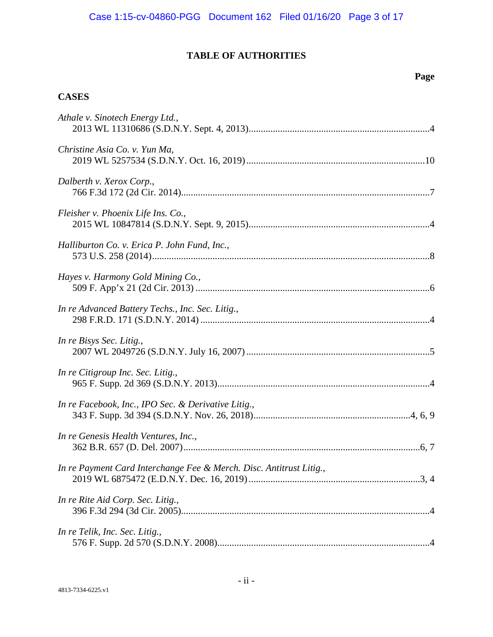# **TABLE OF AUTHORITIES**

## **Page**

# **CASES**

| Athale v. Sinotech Energy Ltd.,                                     |
|---------------------------------------------------------------------|
| Christine Asia Co. v. Yun Ma,                                       |
| Dalberth v. Xerox Corp.,                                            |
| Fleisher v. Phoenix Life Ins. Co.,                                  |
| Halliburton Co. v. Erica P. John Fund, Inc.,                        |
| Hayes v. Harmony Gold Mining Co.,                                   |
| In re Advanced Battery Techs., Inc. Sec. Litig.,                    |
| In re Bisys Sec. Litig.,                                            |
| In re Citigroup Inc. Sec. Litig.,                                   |
| In re Facebook, Inc., IPO Sec. & Derivative Litig.,                 |
| In re Genesis Health Ventures, Inc.,                                |
| In re Payment Card Interchange Fee & Merch. Disc. Antitrust Litig., |
| In re Rite Aid Corp. Sec. Litig.,                                   |
| In re Telik, Inc. Sec. Litig.,                                      |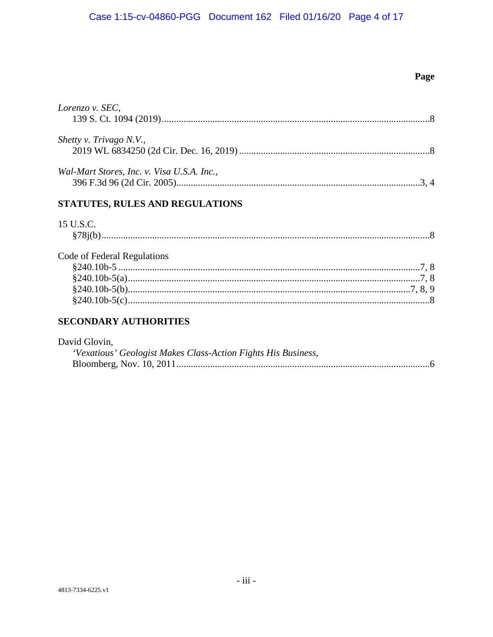# Page

| Lorenzo v. SEC,                            |  |
|--------------------------------------------|--|
| Shetty v. Trivago N.V.,                    |  |
| Wal-Mart Stores, Inc. v. Visa U.S.A. Inc., |  |

# STATUTES, RULES AND REGULATIONS

# 15 U.S.C.

| Code of Federal Regulations |  |
|-----------------------------|--|
|                             |  |
|                             |  |
|                             |  |
|                             |  |

## **SECONDARY AUTHORITIES**

| David Glovin,                                                 |  |
|---------------------------------------------------------------|--|
| 'Vexatious' Geologist Makes Class-Action Fights His Business, |  |
|                                                               |  |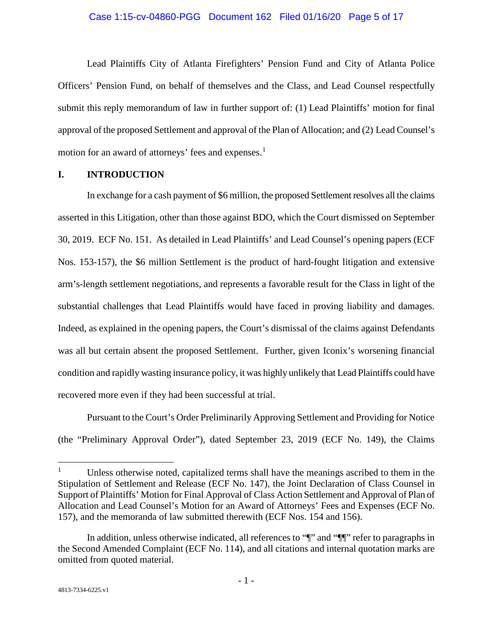### Case 1:15-cv-04860-PGG Document 162 Filed 01/16/20 Page 5 of 17

Lead Plaintiffs City of Atlanta Firefighters' Pension Fund and City of Atlanta Police Officers' Pension Fund, on behalf of themselves and the Class, and Lead Counsel respectfully submit this reply memorandum of law in further support of: (1) Lead Plaintiffs' motion for final approval of the proposed Settlement and approval of the Plan of Allocation; and (2) Lead Counsel's motion for an award of attorneys' fees and expenses. $<sup>1</sup>$  $<sup>1</sup>$  $<sup>1</sup>$ </sup>

### **I. INTRODUCTION**

In exchange for a cash payment of \$6 million, the proposed Settlement resolves all the claims asserted in this Litigation, other than those against BDO, which the Court dismissed on September 30, 2019. ECF No. 151. As detailed in Lead Plaintiffs' and Lead Counsel's opening papers (ECF Nos. 153-157), the \$6 million Settlement is the product of hard-fought litigation and extensive arm's-length settlement negotiations, and represents a favorable result for the Class in light of the substantial challenges that Lead Plaintiffs would have faced in proving liability and damages. Indeed, as explained in the opening papers, the Court's dismissal of the claims against Defendants was all but certain absent the proposed Settlement. Further, given Iconix's worsening financial condition and rapidly wasting insurance policy, it was highly unlikely that Lead Plaintiffs could have recovered more even if they had been successful at trial.

Pursuant to the Court's Order Preliminarily Approving Settlement and Providing for Notice (the "Preliminary Approval Order"), dated September 23, 2019 (ECF No. 149), the Claims

<span id="page-4-0"></span> $1$  Unless otherwise noted, capitalized terms shall have the meanings ascribed to them in the Stipulation of Settlement and Release (ECF No. 147), the Joint Declaration of Class Counsel in Support of Plaintiffs' Motion for Final Approval of Class Action Settlement and Approval of Plan of Allocation and Lead Counsel's Motion for an Award of Attorneys' Fees and Expenses (ECF No. 157), and the memoranda of law submitted therewith (ECF Nos. 154 and 156).

In addition, unless otherwise indicated, all references to " $\mathbb{I}$ " and " $\mathbb{I}$ " refer to paragraphs in the Second Amended Complaint (ECF No. 114), and all citations and internal quotation marks are omitted from quoted material.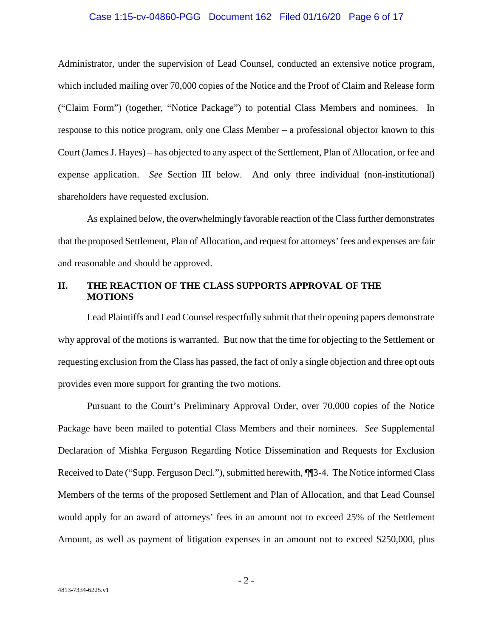### Case 1:15-cv-04860-PGG Document 162 Filed 01/16/20 Page 6 of 17

Administrator, under the supervision of Lead Counsel, conducted an extensive notice program, which included mailing over 70,000 copies of the Notice and the Proof of Claim and Release form ("Claim Form") (together, "Notice Package") to potential Class Members and nominees. In response to this notice program, only one Class Member – a professional objector known to this Court (James J. Hayes) – has objected to any aspect of the Settlement, Plan of Allocation, or fee and expense application. *See* Section III below. And only three individual (non-institutional) shareholders have requested exclusion.

As explained below, the overwhelmingly favorable reaction of the Class further demonstrates that the proposed Settlement, Plan of Allocation, and request for attorneys' fees and expenses are fair and reasonable and should be approved.

## **II. THE REACTION OF THE CLASS SUPPORTS APPROVAL OF THE MOTIONS**

Lead Plaintiffs and Lead Counsel respectfully submit that their opening papers demonstrate why approval of the motions is warranted. But now that the time for objecting to the Settlement or requesting exclusion from the Class has passed, the fact of only a single objection and three opt outs provides even more support for granting the two motions.

Pursuant to the Court's Preliminary Approval Order, over 70,000 copies of the Notice Package have been mailed to potential Class Members and their nominees. *See* Supplemental Declaration of Mishka Ferguson Regarding Notice Dissemination and Requests for Exclusion Received to Date ("Supp. Ferguson Decl."), submitted herewith,  $\P$  [3-4. The Notice informed Class Members of the terms of the proposed Settlement and Plan of Allocation, and that Lead Counsel would apply for an award of attorneys' fees in an amount not to exceed 25% of the Settlement Amount, as well as payment of litigation expenses in an amount not to exceed \$250,000, plus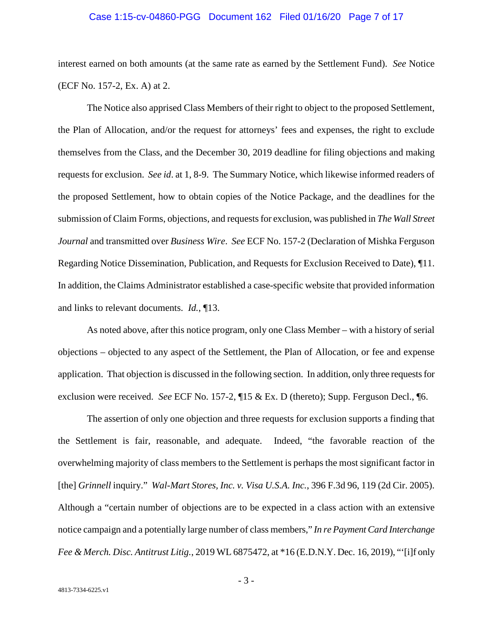### Case 1:15-cv-04860-PGG Document 162 Filed 01/16/20 Page 7 of 17

interest earned on both amounts (at the same rate as earned by the Settlement Fund). *See* Notice (ECF No. 157-2, Ex. A) at 2.

The Notice also apprised Class Members of their right to object to the proposed Settlement, the Plan of Allocation, and/or the request for attorneys' fees and expenses, the right to exclude themselves from the Class, and the December 30, 2019 deadline for filing objections and making requests for exclusion. *See id*. at 1, 8-9. The Summary Notice, which likewise informed readers of the proposed Settlement, how to obtain copies of the Notice Package, and the deadlines for the submission of Claim Forms, objections, and requests for exclusion, was published in *The Wall Street Journal* and transmitted over *Business Wire*. *See* ECF No. 157-2 (Declaration of Mishka Ferguson Regarding Notice Dissemination, Publication, and Requests for Exclusion Received to Date), ¶11. In addition, the Claims Administrator established a case-specific website that provided information and links to relevant documents. *Id.*, ¶13.

As noted above, after this notice program, only one Class Member – with a history of serial objections – objected to any aspect of the Settlement, the Plan of Allocation, or fee and expense application. That objection is discussed in the following section. In addition, only three requests for exclusion were received. *See* ECF No. 157-2, ¶15 & Ex. D (thereto); Supp. Ferguson Decl., ¶6.

<span id="page-6-1"></span><span id="page-6-0"></span>The assertion of only one objection and three requests for exclusion supports a finding that the Settlement is fair, reasonable, and adequate. Indeed, "the favorable reaction of the overwhelming majority of class members to the Settlement is perhaps the most significant factor in [the] *Grinnell* inquiry." *Wal-Mart Stores, Inc. v. Visa U.S.A. Inc.*, 396 F.3d 96, 119 (2d Cir. 2005). Although a "certain number of objections are to be expected in a class action with an extensive notice campaign and a potentially large number of class members," *In re Payment Card Interchange Fee & Merch. Disc. Antitrust Litig.*, 2019 WL 6875472, at \*16 (E.D.N.Y. Dec. 16, 2019), "'[i]f only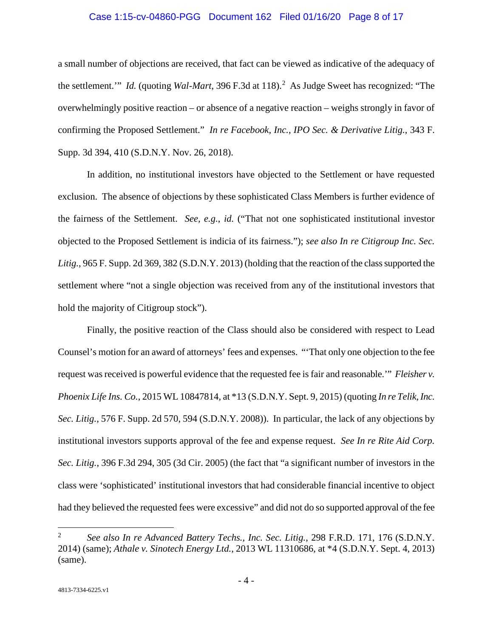### <span id="page-7-8"></span>Case 1:15-cv-04860-PGG Document 162 Filed 01/16/20 Page 8 of 17

<span id="page-7-5"></span>a small number of objections are received, that fact can be viewed as indicative of the adequacy of the settlement." *Id.* (quoting *Wal-Mart*, 396 F.3d at 118).<sup>[2](#page-7-9)</sup> As Judge Sweet has recognized: "The overwhelmingly positive reaction – or absence of a negative reaction – weighs strongly in favor of confirming the Proposed Settlement." *In re Facebook, Inc., IPO Sec. & Derivative Litig.*, 343 F. Supp. 3d 394, 410 (S.D.N.Y. Nov. 26, 2018).

<span id="page-7-4"></span><span id="page-7-3"></span>In addition, no institutional investors have objected to the Settlement or have requested exclusion. The absence of objections by these sophisticated Class Members is further evidence of the fairness of the Settlement. *See, e.g.*, *id.* ("That not one sophisticated institutional investor objected to the Proposed Settlement is indicia of its fairness."); *see also In re Citigroup Inc. Sec. Litig.*, 965 F. Supp. 2d 369, 382 (S.D.N.Y. 2013) (holding that the reaction of the class supported the settlement where "not a single objection was received from any of the institutional investors that hold the majority of Citigroup stock").

<span id="page-7-7"></span><span id="page-7-1"></span>Finally, the positive reaction of the Class should also be considered with respect to Lead Counsel's motion for an award of attorneys' fees and expenses. "'That only one objection to the fee request was received is powerful evidence that the requested fee is fair and reasonable.'" *Fleisher v. Phoenix Life Ins. Co.*, 2015 WL 10847814, at \*13 (S.D.N.Y. Sept. 9, 2015) (quoting *In re Telik, Inc. Sec. Litig.*, 576 F. Supp. 2d 570, 594 (S.D.N.Y. 2008)). In particular, the lack of any objections by institutional investors supports approval of the fee and expense request. *See In re Rite Aid Corp. Sec. Litig.*, 396 F.3d 294, 305 (3d Cir. 2005) (the fact that "a significant number of investors in the class were 'sophisticated' institutional investors that had considerable financial incentive to object had they believed the requested fees were excessive" and did not do so supported approval of the fee

<span id="page-7-9"></span><span id="page-7-6"></span><span id="page-7-2"></span><span id="page-7-0"></span> <sup>2</sup> *See also In re Advanced Battery Techs., Inc. Sec. Litig.*, 298 F.R.D. 171, 176 (S.D.N.Y. 2014) (same); *Athale v. Sinotech Energy Ltd.*, 2013 WL 11310686, at \*4 (S.D.N.Y. Sept. 4, 2013) (same).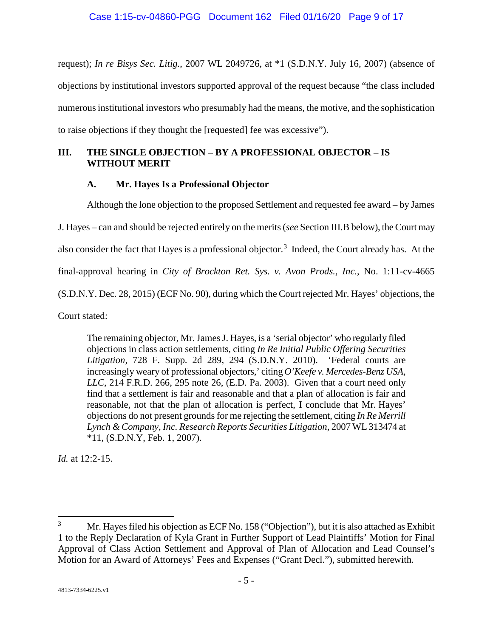<span id="page-8-0"></span>request); *In re Bisys Sec. Litig.*, 2007 WL 2049726, at \*1 (S.D.N.Y. July 16, 2007) (absence of objections by institutional investors supported approval of the request because "the class included numerous institutional investors who presumably had the means, the motive, and the sophistication to raise objections if they thought the [requested] fee was excessive").

## **III. THE SINGLE OBJECTION – BY A PROFESSIONAL OBJECTOR – IS WITHOUT MERIT**

## **A. Mr. Hayes Is a Professional Objector**

Although the lone objection to the proposed Settlement and requested fee award – by James

J. Hayes – can and should be rejected entirely on the merits (*see* Section III.B below), the Court may

also consider the fact that Hayes is a professional objector.<sup>[3](#page-8-1)</sup> Indeed, the Court already has. At the

final-approval hearing in *City of Brockton Ret. Sys. v. Avon Prods., Inc.*, No. 1:11-cv-4665

(S.D.N.Y. Dec. 28, 2015) (ECF No. 90), during which the Court rejected Mr. Hayes' objections, the

Court stated:

The remaining objector, Mr. James J. Hayes, is a 'serial objector' who regularly filed objections in class action settlements, citing *In Re Initial Public Offering Securities Litigation*, 728 F. Supp. 2d 289, 294 (S.D.N.Y. 2010). 'Federal courts are increasingly weary of professional objectors,' citing *O'Keefe v. Mercedes-Benz USA, LLC*, 214 F.R.D. 266, 295 note 26, (E.D. Pa. 2003). Given that a court need only find that a settlement is fair and reasonable and that a plan of allocation is fair and reasonable, not that the plan of allocation is perfect, I conclude that Mr. Hayes' objections do not present grounds for me rejecting the settlement, citing *In Re Merrill Lynch & Company, Inc. Research Reports Securities Litigation*, 2007 WL 313474 at \*11, (S.D.N.Y, Feb. 1, 2007).

*Id.* at 12:2-15.

<span id="page-8-1"></span><sup>&</sup>lt;sup>3</sup> Mr. Hayes filed his objection as ECF No. 158 ("Objection"), but it is also attached as Exhibit 1 to the Reply Declaration of Kyla Grant in Further Support of Lead Plaintiffs' Motion for Final Approval of Class Action Settlement and Approval of Plan of Allocation and Lead Counsel's Motion for an Award of Attorneys' Fees and Expenses ("Grant Decl."), submitted herewith.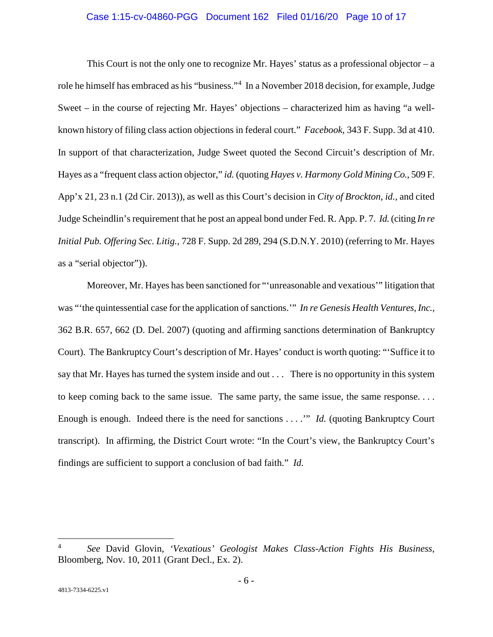### <span id="page-9-1"></span>Case 1:15-cv-04860-PGG Document 162 Filed 01/16/20 Page 10 of 17

<span id="page-9-0"></span>This Court is not the only one to recognize Mr. Hayes' status as a professional objector – a role he himself has embraced as his "business."[4](#page-9-4) In a November 2018 decision, for example, Judge Sweet – in the course of rejecting Mr. Hayes' objections – characterized him as having "a wellknown history of filing class action objections in federal court." *Facebook*, 343 F. Supp. 3d at 410. In support of that characterization, Judge Sweet quoted the Second Circuit's description of Mr. Hayes as a "frequent class action objector," *id.* (quoting *Hayes v. Harmony Gold Mining Co.*, 509 F. App'x 21, 23 n.1 (2d Cir. 2013)), as well as this Court's decision in *City of Brockton*, *id.*, and cited Judge Scheindlin's requirement that he post an appeal bond under Fed. R. App. P. 7. *Id.* (citing *In re Initial Pub. Offering Sec. Litig.*, 728 F. Supp. 2d 289, 294 (S.D.N.Y. 2010) (referring to Mr. Hayes as a "serial objector")).

<span id="page-9-2"></span>Moreover, Mr. Hayes has been sanctioned for "'unreasonable and vexatious'" litigation that was "'the quintessential case for the application of sanctions.'" *In re Genesis Health Ventures, Inc.*, 362 B.R. 657, 662 (D. Del. 2007) (quoting and affirming sanctions determination of Bankruptcy Court). The Bankruptcy Court's description of Mr. Hayes' conduct is worth quoting: "'Suffice it to say that Mr. Hayes has turned the system inside and out . . . There is no opportunity in this system to keep coming back to the same issue. The same party, the same issue, the same response. . . . Enough is enough. Indeed there is the need for sanctions . . . .'" *Id.* (quoting Bankruptcy Court transcript). In affirming, the District Court wrote: "In the Court's view, the Bankruptcy Court's findings are sufficient to support a conclusion of bad faith." *Id.*

<span id="page-9-4"></span><span id="page-9-3"></span> <sup>4</sup> *See* David Glovin, *'Vexatious' Geologist Makes Class-Action Fights His Business*, Bloomberg, Nov. 10, 2011 (Grant Decl., Ex. 2).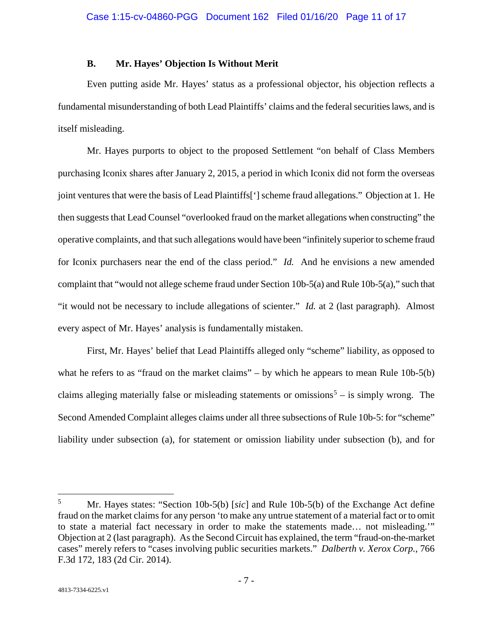### **B. Mr. Hayes' Objection Is Without Merit**

Even putting aside Mr. Hayes' status as a professional objector, his objection reflects a fundamental misunderstanding of both Lead Plaintiffs' claims and the federal securities laws, and is itself misleading.

Mr. Hayes purports to object to the proposed Settlement "on behalf of Class Members purchasing Iconix shares after January 2, 2015, a period in which Iconix did not form the overseas joint ventures that were the basis of Lead Plaintiffs['] scheme fraud allegations." Objection at 1. He then suggests that Lead Counsel "overlooked fraud on the market allegations when constructing" the operative complaints, and that such allegations would have been "infinitely superior to scheme fraud for Iconix purchasers near the end of the class period." *Id.* And he envisions a new amended complaint that "would not allege scheme fraud under Section 10b-5(a) and Rule 10b-5(a)," such that "it would not be necessary to include allegations of scienter." *Id.* at 2 (last paragraph). Almost every aspect of Mr. Hayes' analysis is fundamentally mistaken.

<span id="page-10-4"></span><span id="page-10-3"></span><span id="page-10-2"></span><span id="page-10-1"></span>First, Mr. Hayes' belief that Lead Plaintiffs alleged only "scheme" liability, as opposed to what he refers to as "fraud on the market claims" – by which he appears to mean Rule  $10b-5(b)$ claims alleging materially false or misleading statements or omissions<sup>[5](#page-10-5)</sup> – is simply wrong. The Second Amended Complaint alleges claims under all three subsections of Rule 10b-5: for "scheme" liability under subsection (a), for statement or omission liability under subsection (b), and for

<span id="page-10-5"></span><span id="page-10-0"></span> <sup>5</sup> Mr. Hayes states: "Section 10b-5(b) [*sic*] and Rule 10b-5(b) of the Exchange Act define fraud on the market claims for any person 'to make any untrue statement of a material fact or to omit to state a material fact necessary in order to make the statements made… not misleading.'" Objection at 2 (last paragraph). As the Second Circuit has explained, the term "fraud-on-the-market cases" merely refers to "cases involving public securities markets." *Dalberth v. Xerox Corp.*, 766 F.3d 172, 183 (2d Cir. 2014).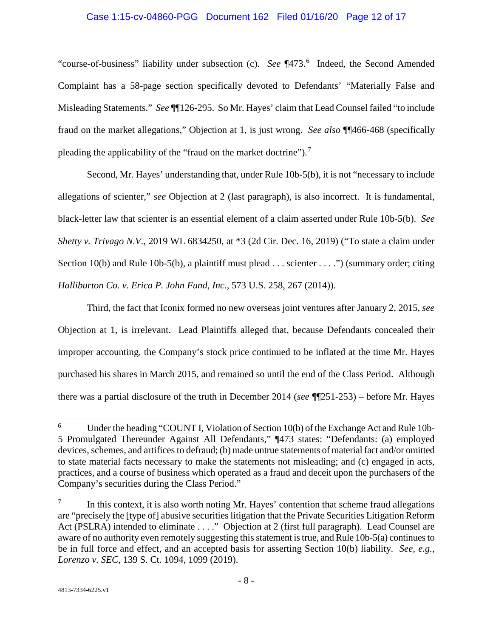### <span id="page-11-7"></span>Case 1:15-cv-04860-PGG Document 162 Filed 01/16/20 Page 12 of 17

"course-of-business" liability under subsection (c). See ¶473.<sup>[6](#page-11-8)</sup> Indeed, the Second Amended Complaint has a 58-page section specifically devoted to Defendants' "Materially False and Misleading Statements." *See* ¶¶126-295. So Mr. Hayes' claim that Lead Counsel failed "to include fraud on the market allegations," Objection at 1, is just wrong. *See also* ¶¶466-468 (specifically pleading the applicability of the "fraud on the market doctrine").<sup>[7](#page-11-9)</sup>

<span id="page-11-6"></span><span id="page-11-2"></span>Second, Mr. Hayes' understanding that, under Rule 10b-5(b), it is not "necessary to include allegations of scienter," *see* Objection at 2 (last paragraph), is also incorrect. It is fundamental, black-letter law that scienter is an essential element of a claim asserted under Rule 10b-5(b). *See Shetty v. Trivago N.V.*, 2019 WL 6834250, at \*3 (2d Cir. Dec. 16, 2019) ("To state a claim under Section 10(b) and Rule 10b-5(b), a plaintiff must plead . . . scienter . . . .") (summary order; citing *Halliburton Co. v. Erica P. John Fund, Inc.*, 573 U.S. 258, 267 (2014)).

<span id="page-11-0"></span>Third, the fact that Iconix formed no new overseas joint ventures after January 2, 2015, *see* Objection at 1, is irrelevant. Lead Plaintiffs alleged that, because Defendants concealed their improper accounting, the Company's stock price continued to be inflated at the time Mr. Hayes purchased his shares in March 2015, and remained so until the end of the Class Period. Although there was a partial disclosure of the truth in December 2014 (*see* ¶¶251-253) – before Mr. Hayes

<span id="page-11-8"></span><span id="page-11-4"></span><span id="page-11-3"></span> <sup>6</sup> Under the heading "COUNT I, Violation of Section 10(b) of the Exchange Act and Rule 10b-5 Promulgated Thereunder Against All Defendants," ¶473 states: "Defendants: (a) employed devices, schemes, and artifices to defraud; (b) made untrue statements of material fact and/or omitted to state material facts necessary to make the statements not misleading; and (c) engaged in acts, practices, and a course of business which operated as a fraud and deceit upon the purchasers of the Company's securities during the Class Period."

<span id="page-11-9"></span><span id="page-11-5"></span><span id="page-11-1"></span>In this context, it is also worth noting Mr. Hayes' contention that scheme fraud allegations are "precisely the [type of] abusive securities litigation that the Private Securities Litigation Reform Act (PSLRA) intended to eliminate . . . ." Objection at 2 (first full paragraph). Lead Counsel are aware of no authority even remotely suggesting this statement is true, and Rule 10b-5(a) continues to be in full force and effect, and an accepted basis for asserting Section 10(b) liability. *See, e.g.*, *Lorenzo v. SEC*, 139 S. Ct. 1094, 1099 (2019).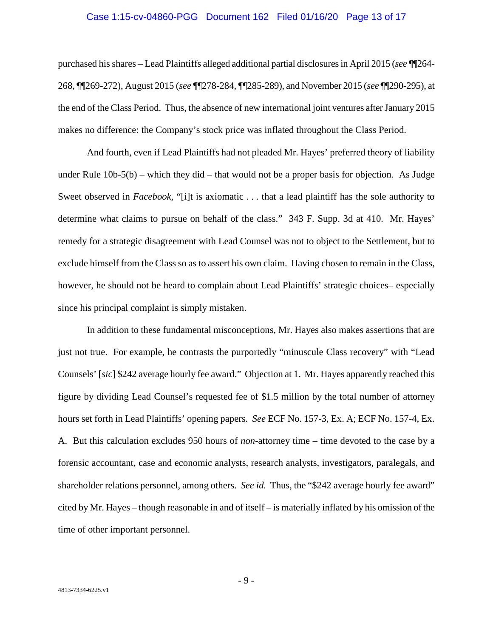### Case 1:15-cv-04860-PGG Document 162 Filed 01/16/20 Page 13 of 17

purchased his shares – Lead Plaintiffs alleged additional partial disclosures in April 2015 (*see* ¶¶264- 268, ¶¶269-272), August 2015 (*see* ¶¶278-284, ¶¶285-289), and November 2015 (*see* ¶¶290-295), at the end of the Class Period. Thus, the absence of new international joint ventures after January 2015 makes no difference: the Company's stock price was inflated throughout the Class Period.

<span id="page-12-1"></span><span id="page-12-0"></span>And fourth, even if Lead Plaintiffs had not pleaded Mr. Hayes' preferred theory of liability under Rule  $10b-5(b)$  – which they did – that would not be a proper basis for objection. As Judge Sweet observed in *Facebook*, "[i]t is axiomatic . . . that a lead plaintiff has the sole authority to determine what claims to pursue on behalf of the class." 343 F. Supp. 3d at 410. Mr. Hayes' remedy for a strategic disagreement with Lead Counsel was not to object to the Settlement, but to exclude himself from the Class so as to assert his own claim. Having chosen to remain in the Class, however, he should not be heard to complain about Lead Plaintiffs' strategic choices– especially since his principal complaint is simply mistaken.

In addition to these fundamental misconceptions, Mr. Hayes also makes assertions that are just not true. For example, he contrasts the purportedly "minuscule Class recovery" with "Lead Counsels' [*sic*] \$242 average hourly fee award." Objection at 1. Mr. Hayes apparently reached this figure by dividing Lead Counsel's requested fee of \$1.5 million by the total number of attorney hours set forth in Lead Plaintiffs' opening papers. *See* ECF No. 157-3, Ex. A; ECF No. 157-4, Ex. A. But this calculation excludes 950 hours of *non*-attorney time – time devoted to the case by a forensic accountant, case and economic analysts, research analysts, investigators, paralegals, and shareholder relations personnel, among others. *See id.* Thus, the "\$242 average hourly fee award" cited by Mr. Hayes – though reasonable in and of itself – is materially inflated by his omission of the time of other important personnel.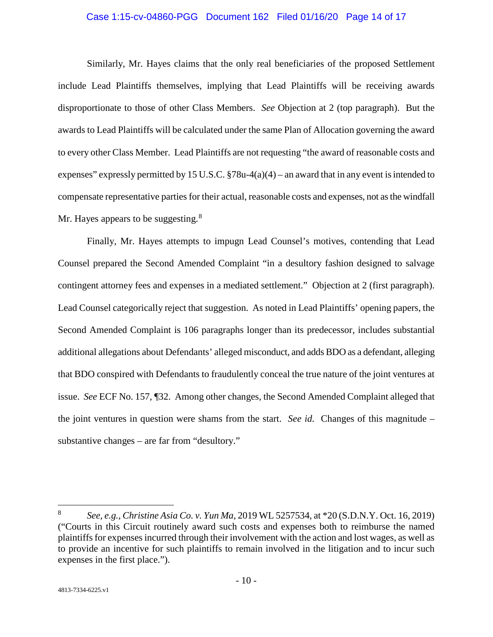### Case 1:15-cv-04860-PGG Document 162 Filed 01/16/20 Page 14 of 17

Similarly, Mr. Hayes claims that the only real beneficiaries of the proposed Settlement include Lead Plaintiffs themselves, implying that Lead Plaintiffs will be receiving awards disproportionate to those of other Class Members. *See* Objection at 2 (top paragraph). But the awards to Lead Plaintiffs will be calculated under the same Plan of Allocation governing the award to every other Class Member. Lead Plaintiffs are not requesting "the award of reasonable costs and expenses" expressly permitted by 15 U.S.C.  $\S78u-4(a)(4)$  – an award that in any event is intended to compensate representative parties for their actual, reasonable costs and expenses, not as the windfall Mr. Hayes appears to be suggesting.<sup>[8](#page-13-1)</sup>

Finally, Mr. Hayes attempts to impugn Lead Counsel's motives, contending that Lead Counsel prepared the Second Amended Complaint "in a desultory fashion designed to salvage contingent attorney fees and expenses in a mediated settlement." Objection at 2 (first paragraph). Lead Counsel categorically reject that suggestion. As noted in Lead Plaintiffs' opening papers, the Second Amended Complaint is 106 paragraphs longer than its predecessor, includes substantial additional allegations about Defendants' alleged misconduct, and adds BDO as a defendant, alleging that BDO conspired with Defendants to fraudulently conceal the true nature of the joint ventures at issue. *See* ECF No. 157, ¶32. Among other changes, the Second Amended Complaint alleged that the joint ventures in question were shams from the start. *See id.* Changes of this magnitude – substantive changes – are far from "desultory."

<span id="page-13-1"></span><span id="page-13-0"></span> <sup>8</sup> *See, e.g.*, *Christine Asia Co. v. Yun Ma*, 2019 WL 5257534, at \*20 (S.D.N.Y. Oct. 16, 2019) ("Courts in this Circuit routinely award such costs and expenses both to reimburse the named plaintiffs for expenses incurred through their involvement with the action and lost wages, as well as to provide an incentive for such plaintiffs to remain involved in the litigation and to incur such expenses in the first place.").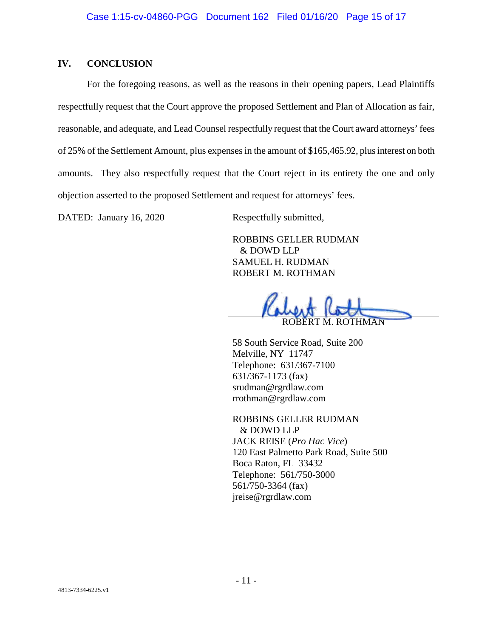## **IV. CONCLUSION**

For the foregoing reasons, as well as the reasons in their opening papers, Lead Plaintiffs respectfully request that the Court approve the proposed Settlement and Plan of Allocation as fair, reasonable, and adequate, and Lead Counsel respectfully request that the Court award attorneys' fees of 25% of the Settlement Amount, plus expenses in the amount of \$165,465.92, plus interest on both amounts. They also respectfully request that the Court reject in its entirety the one and only objection asserted to the proposed Settlement and request for attorneys' fees.

DATED: January 16, 2020 Respectfully submitted,

ROBBINS GELLER RUDMAN & DOWD LLP SAMUEL H. RUDMAN ROBERT M. ROTHMAN

ROBERT M. ROTHMAN

58 South Service Road, Suite 200 Melville, NY 11747 Telephone: 631/367-7100 631/367-1173 (fax) srudman@rgrdlaw.com rrothman@rgrdlaw.com

ROBBINS GELLER RUDMAN & DOWD LLP JACK REISE (*Pro Hac Vice*) 120 East Palmetto Park Road, Suite 500 Boca Raton, FL 33432 Telephone: 561/750-3000 561/750-3364 (fax) jreise@rgrdlaw.com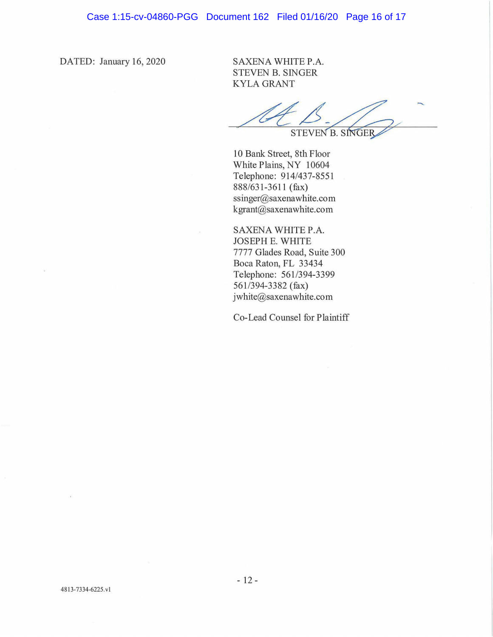DATED: January 16, 2020

SAXENA WHITE P.A. STEVEN B. SINGER KYLA GRANT

STEVEN B. SINGER

10 Bank Street, 8th Floor White Plains, NY 10604 Telephone: 914/437-8551 888/631-3611 (fax) ssinger@saxenawhite.com kgrant@saxenawhite.com

SAXENA WHITE P.A. JOSEPH E. WHITE 7777 Glades Road, Suite 300 Boca Raton, FL 33434 Telephone: 561 /394-3399 561 /394-3382 (fax) jwhite@saxenawhite.com

Co-Lead Counsel for Plaintiff